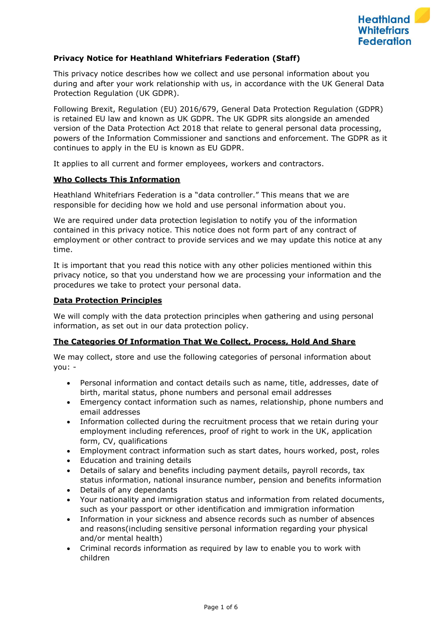

## **Privacy Notice for Heathland Whitefriars Federation (Staff)**

This privacy notice describes how we collect and use personal information about you during and after your work relationship with us, in accordance with the UK General Data Protection Regulation (UK GDPR).

Following Brexit, Regulation (EU) 2016/679, General Data Protection Regulation (GDPR) is retained EU law and known as UK GDPR. The UK GDPR sits alongside an amended version of the Data Protection Act 2018 that relate to general personal data processing, powers of the Information Commissioner and sanctions and enforcement. The GDPR as it continues to apply in the EU is known as EU GDPR.

It applies to all current and former employees, workers and contractors.

### **Who Collects This Information**

Heathland Whitefriars Federation is a "data controller." This means that we are responsible for deciding how we hold and use personal information about you.

We are required under data protection legislation to notify you of the information contained in this privacy notice. This notice does not form part of any contract of employment or other contract to provide services and we may update this notice at any time.

It is important that you read this notice with any other policies mentioned within this privacy notice, so that you understand how we are processing your information and the procedures we take to protect your personal data.

#### **Data Protection Principles**

We will comply with the data protection principles when gathering and using personal information, as set out in our data protection policy.

### **The Categories Of Information That We Collect, Process, Hold And Share**

We may collect, store and use the following categories of personal information about you: -

- Personal information and contact details such as name, title, addresses, date of birth, marital status, phone numbers and personal email addresses
- Emergency contact information such as names, relationship, phone numbers and email addresses
- Information collected during the recruitment process that we retain during your employment including references, proof of right to work in the UK, application form, CV, qualifications
- Employment contract information such as start dates, hours worked, post, roles
- Education and training details
- Details of salary and benefits including payment details, payroll records, tax status information, national insurance number, pension and benefits information
- Details of any dependants
- Your nationality and immigration status and information from related documents, such as your passport or other identification and immigration information
- Information in your sickness and absence records such as number of absences and reasons(including sensitive personal information regarding your physical and/or mental health)
- Criminal records information as required by law to enable you to work with children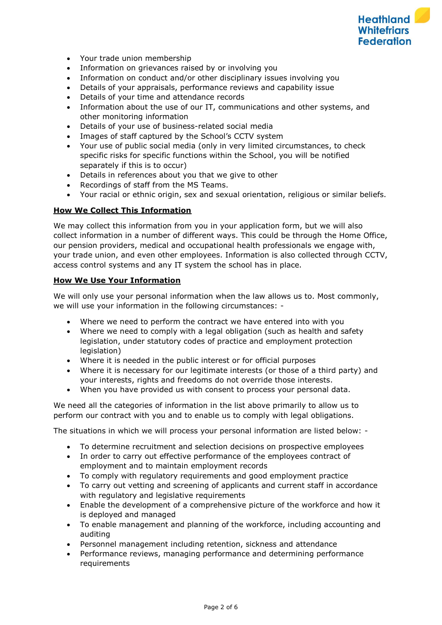

- Your trade union membership
- Information on grievances raised by or involving you
- Information on conduct and/or other disciplinary issues involving you
- Details of your appraisals, performance reviews and capability issue
- Details of your time and attendance records
- Information about the use of our IT, communications and other systems, and other monitoring information
- Details of your use of business-related social media
- Images of staff captured by the School's CCTV system
- Your use of public social media (only in very limited circumstances, to check specific risks for specific functions within the School, you will be notified separately if this is to occur)
- Details in references about you that we give to other
- Recordings of staff from the MS Teams.
- Your racial or ethnic origin, sex and sexual orientation, religious or similar beliefs.

## **How We Collect This Information**

We may collect this information from you in your application form, but we will also collect information in a number of different ways. This could be through the Home Office, our pension providers, medical and occupational health professionals we engage with, your trade union, and even other employees. Information is also collected through CCTV, access control systems and any IT system the school has in place.

## **How We Use Your Information**

We will only use your personal information when the law allows us to. Most commonly, we will use your information in the following circumstances: -

- Where we need to perform the contract we have entered into with you
- Where we need to comply with a legal obligation (such as health and safety legislation, under statutory codes of practice and employment protection legislation)
- Where it is needed in the public interest or for official purposes
- Where it is necessary for our legitimate interests (or those of a third party) and your interests, rights and freedoms do not override those interests.
- When you have provided us with consent to process your personal data.

We need all the categories of information in the list above primarily to allow us to perform our contract with you and to enable us to comply with legal obligations.

The situations in which we will process your personal information are listed below: -

- To determine recruitment and selection decisions on prospective employees
- In order to carry out effective performance of the employees contract of employment and to maintain employment records
- To comply with regulatory requirements and good employment practice
- To carry out vetting and screening of applicants and current staff in accordance with regulatory and legislative requirements
- Enable the development of a comprehensive picture of the workforce and how it is deployed and managed
- To enable management and planning of the workforce, including accounting and auditing
- Personnel management including retention, sickness and attendance
- Performance reviews, managing performance and determining performance requirements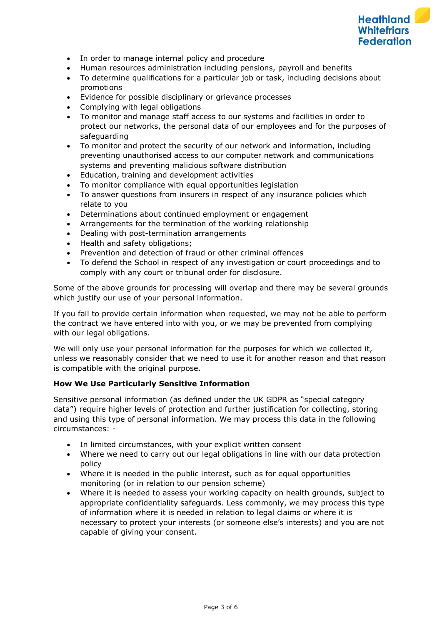

- In order to manage internal policy and procedure
- Human resources administration including pensions, payroll and benefits
- To determine qualifications for a particular job or task, including decisions about promotions
- Evidence for possible disciplinary or grievance processes
- Complying with legal obligations
- To monitor and manage staff access to our systems and facilities in order to protect our networks, the personal data of our employees and for the purposes of safeguarding
- To monitor and protect the security of our network and information, including preventing unauthorised access to our computer network and communications systems and preventing malicious software distribution
- Education, training and development activities
- To monitor compliance with equal opportunities legislation
- To answer questions from insurers in respect of any insurance policies which relate to you
- Determinations about continued employment or engagement
- Arrangements for the termination of the working relationship
- Dealing with post-termination arrangements
- Health and safety obligations;
- Prevention and detection of fraud or other criminal offences
- To defend the School in respect of any investigation or court proceedings and to comply with any court or tribunal order for disclosure.

Some of the above grounds for processing will overlap and there may be several grounds which justify our use of your personal information.

If you fail to provide certain information when requested, we may not be able to perform the contract we have entered into with you, or we may be prevented from complying with our legal obligations.

We will only use your personal information for the purposes for which we collected it, unless we reasonably consider that we need to use it for another reason and that reason is compatible with the original purpose.

### **How We Use Particularly Sensitive Information**

Sensitive personal information (as defined under the UK GDPR as "special category data") require higher levels of protection and further justification for collecting, storing and using this type of personal information. We may process this data in the following circumstances: -

- In limited circumstances, with your explicit written consent
- Where we need to carry out our legal obligations in line with our data protection policy
- Where it is needed in the public interest, such as for equal opportunities monitoring (or in relation to our pension scheme)
- Where it is needed to assess your working capacity on health grounds, subject to appropriate confidentiality safeguards. Less commonly, we may process this type of information where it is needed in relation to legal claims or where it is necessary to protect your interests (or someone else's interests) and you are not capable of giving your consent.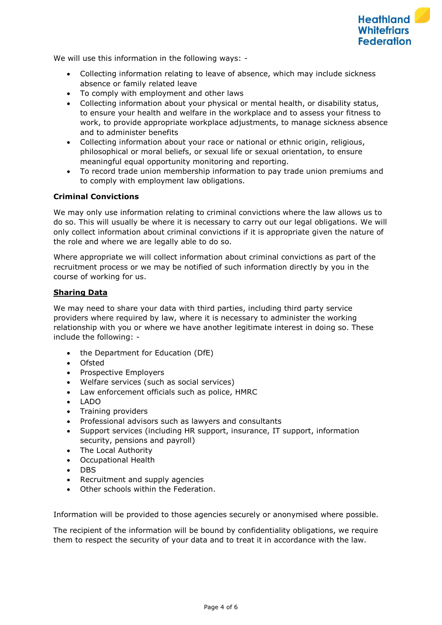

We will use this information in the following ways: -

- Collecting information relating to leave of absence, which may include sickness absence or family related leave
- To comply with employment and other laws
- Collecting information about your physical or mental health, or disability status, to ensure your health and welfare in the workplace and to assess your fitness to work, to provide appropriate workplace adjustments, to manage sickness absence and to administer benefits
- Collecting information about your race or national or ethnic origin, religious, philosophical or moral beliefs, or sexual life or sexual orientation, to ensure meaningful equal opportunity monitoring and reporting.
- To record trade union membership information to pay trade union premiums and to comply with employment law obligations.

## **Criminal Convictions**

We may only use information relating to criminal convictions where the law allows us to do so. This will usually be where it is necessary to carry out our legal obligations. We will only collect information about criminal convictions if it is appropriate given the nature of the role and where we are legally able to do so.

Where appropriate we will collect information about criminal convictions as part of the recruitment process or we may be notified of such information directly by you in the course of working for us.

### **Sharing Data**

We may need to share your data with third parties, including third party service providers where required by law, where it is necessary to administer the working relationship with you or where we have another legitimate interest in doing so. These include the following: -

- the Department for Education (DfE)
- Ofsted
- Prospective Employers
- Welfare services (such as social services)
- Law enforcement officials such as police, HMRC
- LADO
- Training providers
- Professional advisors such as lawyers and consultants
- Support services (including HR support, insurance, IT support, information security, pensions and payroll)
- The Local Authority
- Occupational Health
- DBS
- Recruitment and supply agencies
- Other schools within the Federation.

Information will be provided to those agencies securely or anonymised where possible.

The recipient of the information will be bound by confidentiality obligations, we require them to respect the security of your data and to treat it in accordance with the law.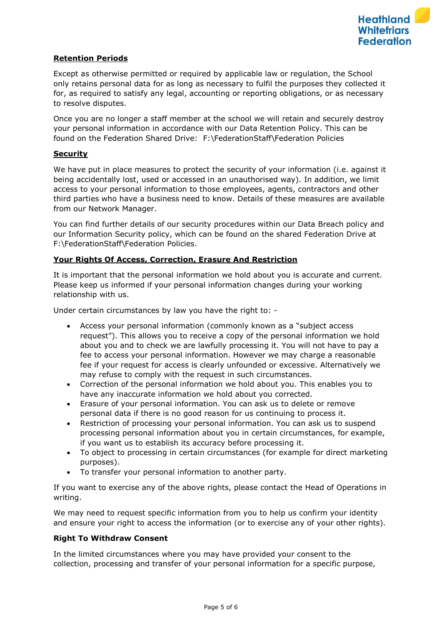# **Retention Periods**

Except as otherwise permitted or required by applicable law or regulation, the School only retains personal data for as long as necessary to fulfil the purposes they collected it for, as required to satisfy any legal, accounting or reporting obligations, or as necessary to resolve disputes.

Once you are no longer a staff member at the school we will retain and securely destroy your personal information in accordance with our Data Retention Policy. This can be found on the Federation Shared Drive: F:\FederationStaff\Federation Policies

## **Security**

We have put in place measures to protect the security of your information (i.e. against it being accidentally lost, used or accessed in an unauthorised way). In addition, we limit access to your personal information to those employees, agents, contractors and other third parties who have a business need to know. Details of these measures are available from our Network Manager.

You can find further details of our security procedures within our Data Breach policy and our Information Security policy, which can be found on the shared Federation Drive at F:\FederationStaff\Federation Policies.

# **Your Rights Of Access, Correction, Erasure And Restriction**

It is important that the personal information we hold about you is accurate and current. Please keep us informed if your personal information changes during your working relationship with us.

Under certain circumstances by law you have the right to: -

- Access your personal information (commonly known as a "subject access request"). This allows you to receive a copy of the personal information we hold about you and to check we are lawfully processing it. You will not have to pay a fee to access your personal information. However we may charge a reasonable fee if your request for access is clearly unfounded or excessive. Alternatively we may refuse to comply with the request in such circumstances.
- Correction of the personal information we hold about you. This enables you to have any inaccurate information we hold about you corrected.
- Erasure of your personal information. You can ask us to delete or remove personal data if there is no good reason for us continuing to process it.
- Restriction of processing your personal information. You can ask us to suspend processing personal information about you in certain circumstances, for example, if you want us to establish its accuracy before processing it.
- To object to processing in certain circumstances (for example for direct marketing purposes).
- To transfer your personal information to another party.

If you want to exercise any of the above rights, please contact the Head of Operations in writing.

We may need to request specific information from you to help us confirm your identity and ensure your right to access the information (or to exercise any of your other rights).

# **Right To Withdraw Consent**

In the limited circumstances where you may have provided your consent to the collection, processing and transfer of your personal information for a specific purpose,